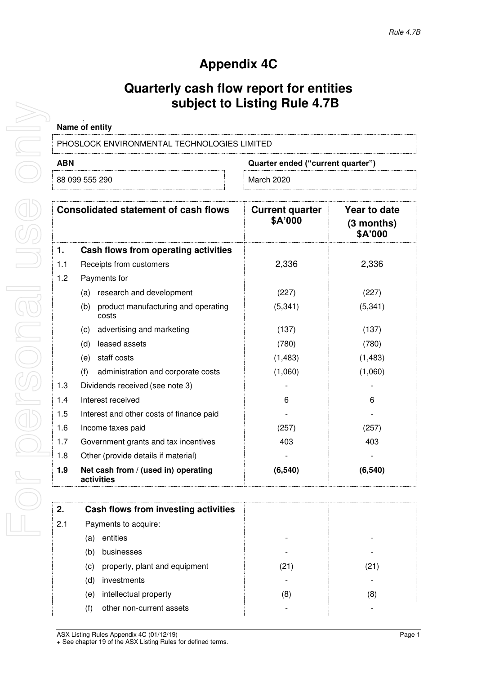# **Appendix 4C**

## **Quarterly cash flow report for entities subject to Listing Rule 4.7B**

| Name of entity                              |            |  |
|---------------------------------------------|------------|--|
| PHOSLOCK ENVIRONMENTAL TECHNOLOGIES LIMITED |            |  |
| ABN<br>Quarter ended ("current quarter")    |            |  |
| 88 099 555 290                              | March 2020 |  |

|     | <b>Consolidated statement of cash flows</b>         | <b>Current quarter</b><br>\$A'000 | Year to date<br>$(3$ months)<br>\$A'000 |
|-----|-----------------------------------------------------|-----------------------------------|-----------------------------------------|
| 1.  | Cash flows from operating activities                |                                   |                                         |
| 1.1 | Receipts from customers                             | 2,336                             | 2,336                                   |
| 1.2 | Payments for                                        |                                   |                                         |
|     | research and development<br>(a)                     | (227)                             | (227)                                   |
|     | product manufacturing and operating<br>(b)<br>costs | (5, 341)                          | (5, 341)                                |
|     | advertising and marketing<br>(c)                    | (137)                             | (137)                                   |
|     | leased assets<br>(d)                                | (780)                             | (780)                                   |
|     | staff costs<br>(e)                                  | (1,483)                           | (1, 483)                                |
|     | (f)<br>administration and corporate costs           | (1,060)                           | (1,060)                                 |
| 1.3 | Dividends received (see note 3)                     |                                   |                                         |
| 1.4 | Interest received                                   | 6                                 | 6                                       |
| 1.5 | Interest and other costs of finance paid            |                                   |                                         |
| 1.6 | Income taxes paid                                   | (257)                             | (257)                                   |
| 1.7 | Government grants and tax incentives                | 403                               | 403                                     |
| 1.8 | Other (provide details if material)                 |                                   |                                         |
| 1.9 | Net cash from / (used in) operating<br>activities   | (6, 540)                          | (6, 540)                                |

| 2.  | Cash flows from investing activities |      |      |
|-----|--------------------------------------|------|------|
| 2.1 | Payments to acquire:                 |      |      |
|     | entities<br>(a)                      |      |      |
|     | businesses<br>(b)                    |      |      |
|     | property, plant and equipment<br>(c) | (21) | (21) |
|     | investments<br>(d)                   |      |      |
|     | intellectual property<br>(e)         | (8)  | (8)  |
|     | other non-current assets<br>(f)      |      |      |
|     |                                      |      |      |

For personal use only  $\begin{matrix} 0 \\ 0 \end{matrix}$ or personal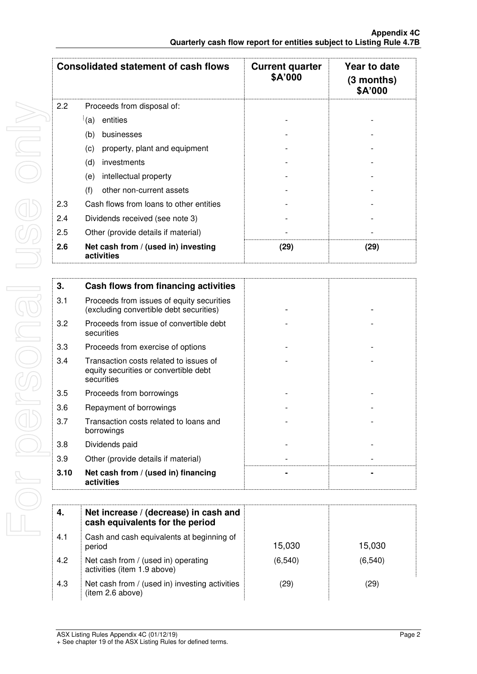|     | <b>Consolidated statement of cash flows</b>       | <b>Current quarter</b><br>\$A'000 | Year to date<br>$(3$ months)<br>\$A'000 |
|-----|---------------------------------------------------|-----------------------------------|-----------------------------------------|
| 2.2 | Proceeds from disposal of:                        |                                   |                                         |
|     | (a)<br>entities                                   |                                   |                                         |
|     | (b)<br>businesses                                 |                                   |                                         |
|     | property, plant and equipment<br>(c)              |                                   |                                         |
|     | (d)<br>investments                                |                                   |                                         |
|     | intellectual property<br>(e)                      |                                   |                                         |
|     | (f)<br>other non-current assets                   |                                   |                                         |
| 2.3 | Cash flows from loans to other entities           |                                   |                                         |
| 2.4 | Dividends received (see note 3)                   |                                   |                                         |
| 2.5 | Other (provide details if material)               |                                   |                                         |
| 2.6 | Net cash from / (used in) investing<br>activities | (29)                              | (29)                                    |

| 3.   | Cash flows from financing activities                                                          |  |
|------|-----------------------------------------------------------------------------------------------|--|
| 3.1  | Proceeds from issues of equity securities<br>(excluding convertible debt securities)          |  |
| 3.2  | Proceeds from issue of convertible debt<br>securities                                         |  |
| 3.3  | Proceeds from exercise of options                                                             |  |
| 3.4  | Transaction costs related to issues of<br>equity securities or convertible debt<br>securities |  |
| 3.5  | Proceeds from borrowings                                                                      |  |
| 3.6  | Repayment of borrowings                                                                       |  |
| 3.7  | Transaction costs related to loans and<br>borrowings                                          |  |
| 3.8  | Dividends paid                                                                                |  |
| 3.9  | Other (provide details if material)                                                           |  |
| 3.10 | Net cash from / (used in) financing<br>activities                                             |  |
|      |                                                                                               |  |

| 4.  | Net increase / (decrease) in cash and<br>cash equivalents for the period |          |          |
|-----|--------------------------------------------------------------------------|----------|----------|
| 4.1 | Cash and cash equivalents at beginning of<br>period                      | 15,030   | 15,030   |
| 4.2 | Net cash from / (used in) operating<br>activities (item 1.9 above)       | (6, 540) | (6, 540) |
| 4.3 | Net cash from / (used in) investing activities<br>(item 2.6 above)       | (29)     | (29)     |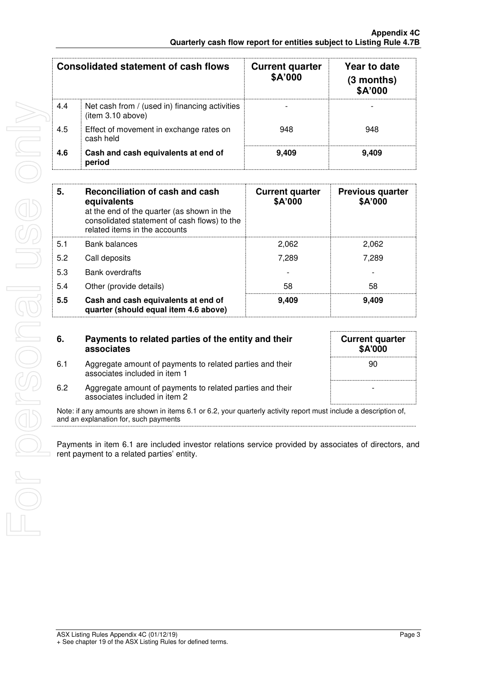|     | <b>Consolidated statement of cash flows</b>                         | <b>Current quarter</b><br>\$A'000 | Year to date<br>$(3$ months)<br>\$A'000 |
|-----|---------------------------------------------------------------------|-----------------------------------|-----------------------------------------|
| 4.4 | Net cash from / (used in) financing activities<br>(item 3.10 above) |                                   |                                         |
| 4.5 | Effect of movement in exchange rates on<br>cash held                | 948                               | 948                                     |
| 4.6 | Cash and cash equivalents at end of<br>period                       | 9.409                             | 9.409                                   |

| 5.  | Reconciliation of cash and cash<br>equivalents<br>at the end of the quarter (as shown in the<br>consolidated statement of cash flows) to the<br>related items in the accounts | <b>Current quarter</b><br>\$A'000 | <b>Previous quarter</b><br>\$A'000 |
|-----|-------------------------------------------------------------------------------------------------------------------------------------------------------------------------------|-----------------------------------|------------------------------------|
| 5.1 | <b>Bank balances</b>                                                                                                                                                          | 2,062                             | 2,062                              |
| 5.2 | Call deposits                                                                                                                                                                 | 7,289                             | 7.289                              |
| 5.3 | <b>Bank overdrafts</b>                                                                                                                                                        |                                   |                                    |
| 5.4 | Other (provide details)                                                                                                                                                       | 58                                | 58                                 |
| 5.5 | Cash and cash equivalents at end of<br>quarter (should equal item 4.6 above)                                                                                                  | 9,409                             | 9,409                              |

| 6.  | Payments to related parties of the entity and their<br>associates                                                                                          | <b>Current quarter</b><br>\$A'000 |
|-----|------------------------------------------------------------------------------------------------------------------------------------------------------------|-----------------------------------|
| 6.1 | Aggregate amount of payments to related parties and their<br>associates included in item 1                                                                 | 90                                |
| 6.2 | Aggregate amount of payments to related parties and their<br>associates included in item 2                                                                 |                                   |
|     | Note: if any amounts are shown in items 6.1 or 6.2, your quarterly activity report must include a description of,<br>and an explanation for, such payments |                                   |

Payments in item 6.1 are included investor relations service provided by associates of directors, and rent payment to a related parties' entity.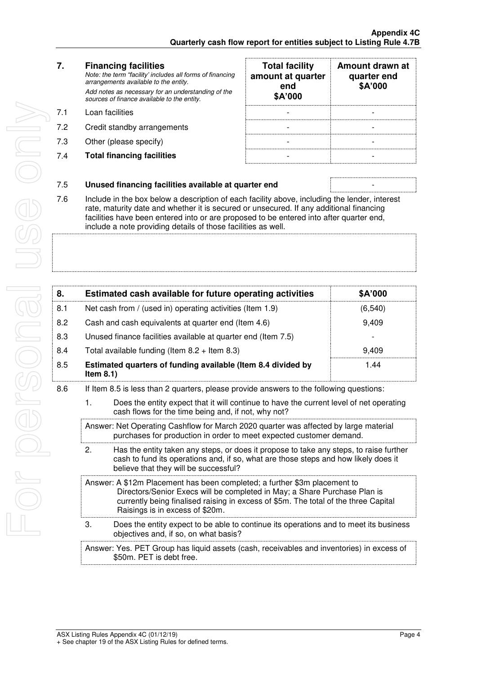| 7.  | <b>Financing facilities</b><br>Note: the term "facility' includes all forms of financing<br>arrangements available to the entity.<br>Add notes as necessary for an understanding of the<br>sources of finance available to the entity. | <b>Total facility</b><br>amount at quarter<br>end<br>\$A'000 | <b>Amount c</b><br>quarte<br>\$A'0 |
|-----|----------------------------------------------------------------------------------------------------------------------------------------------------------------------------------------------------------------------------------------|--------------------------------------------------------------|------------------------------------|
| 7.1 | Loan facilities                                                                                                                                                                                                                        |                                                              |                                    |
| 7.2 | Credit standby arrangements                                                                                                                                                                                                            |                                                              |                                    |
| 7.3 | Other (please specify)                                                                                                                                                                                                                 |                                                              |                                    |
| 7.4 | <b>Total financing facilities</b>                                                                                                                                                                                                      |                                                              |                                    |
|     |                                                                                                                                                                                                                                        |                                                              |                                    |

| <b>Total facility</b><br>amount at quarter<br>end<br>\$A'000 | Amount drawn at<br>quarter end<br>\$A'000 |
|--------------------------------------------------------------|-------------------------------------------|
|                                                              |                                           |
|                                                              |                                           |
|                                                              |                                           |
|                                                              |                                           |

#### 7.5 **Unused financing facilities available at quarter end** -

7.6 Include in the box below a description of each facility above, including the lender, interest rate, maturity date and whether it is secured or unsecured. If any additional financing facilities have been entered into or are proposed to be entered into after quarter end, include a note providing details of those facilities as well.

| 8.  | Estimated cash available for future operating activities                     | \$A'000  |
|-----|------------------------------------------------------------------------------|----------|
| 8.1 | Net cash from / (used in) operating activities (Item 1.9)                    | (6, 540) |
| 8.2 | Cash and cash equivalents at quarter end (Item 4.6)                          | 9,409    |
| 8.3 | Unused finance facilities available at quarter end (Item 7.5)                |          |
| 8.4 | Total available funding (Item $8.2 +$ Item $8.3$ )                           | 9.409    |
| 8.5 | Estimated quarters of funding available (Item 8.4 divided by<br>Item $8.1$ ) | 1.44     |
|     |                                                                              |          |

- 8.6 If Item 8.5 is less than 2 quarters, please provide answers to the following questions:
	- 1. Does the entity expect that it will continue to have the current level of net operating cash flows for the time being and, if not, why not?

Answer: Net Operating Cashflow for March 2020 quarter was affected by large material purchases for production in order to meet expected customer demand.

2. Has the entity taken any steps, or does it propose to take any steps, to raise further cash to fund its operations and, if so, what are those steps and how likely does it believe that they will be successful?

Answer: A \$12m Placement has been completed; a further \$3m placement to Directors/Senior Execs will be completed in May; a Share Purchase Plan is currently being finalised raising in excess of \$5m. The total of the three Capital Raisings is in excess of \$20m.

3. Does the entity expect to be able to continue its operations and to meet its business objectives and, if so, on what basis?

Answer: Yes. PET Group has liquid assets (cash, receivables and inventories) in excess of \$50m. PET is debt free.